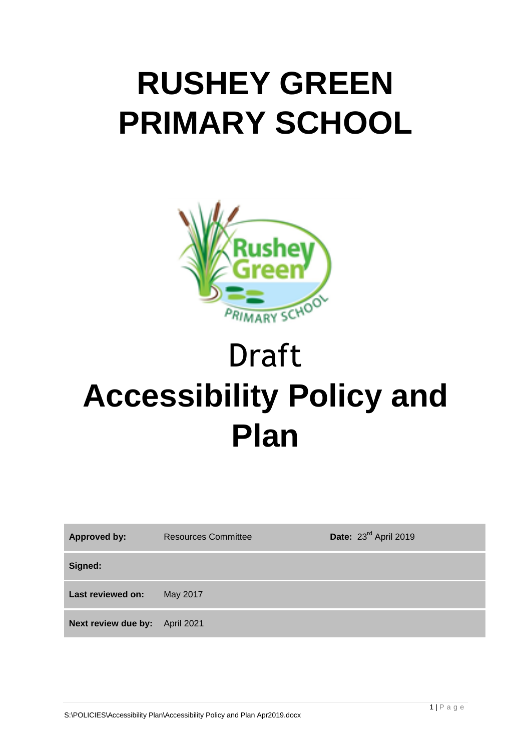# **RUSHEY GREEN PRIMARY SCHOOL**



# Draft **Accessibility Policy and Plan**

| <b>Approved by:</b> | <b>Resources Committee</b> | Date: 23rd April 2019 |
|---------------------|----------------------------|-----------------------|
| Signed:             |                            |                       |
| Last reviewed on:   | May 2017                   |                       |
| Next review due by: | <b>April 2021</b>          |                       |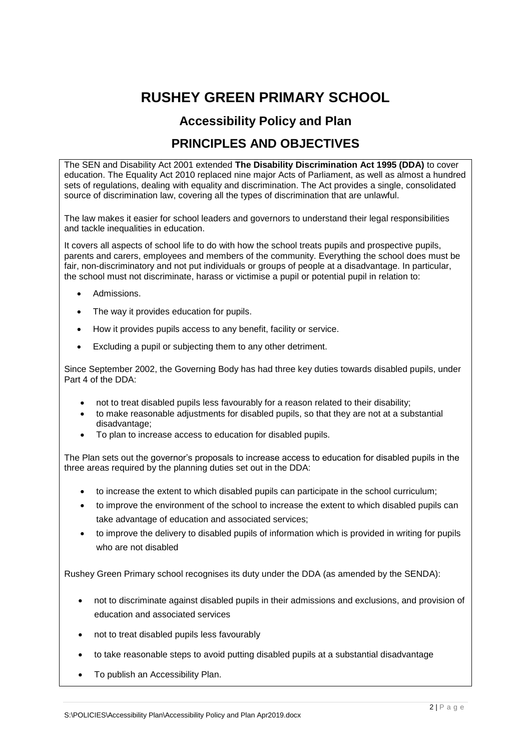## **RUSHEY GREEN PRIMARY SCHOOL**

### **Accessibility Policy and Plan**

### **PRINCIPLES AND OBJECTIVES**

The SEN and Disability Act 2001 extended **The Disability Discrimination Act 1995 (DDA)** to cover education. The Equality Act 2010 replaced nine major Acts of Parliament, as well as almost a hundred sets of regulations, dealing with equality and discrimination. The Act provides a single, consolidated source of discrimination law, covering all the types of discrimination that are unlawful.

The law makes it easier for school leaders and governors to understand their legal responsibilities and tackle inequalities in education.

It covers all aspects of school life to do with how the school treats pupils and prospective pupils, parents and carers, employees and members of the community. Everything the school does must be fair, non-discriminatory and not put individuals or groups of people at a disadvantage. In particular, the school must not discriminate, harass or victimise a pupil or potential pupil in relation to:

- Admissions.
- The way it provides education for pupils.
- How it provides pupils access to any benefit, facility or service.
- Excluding a pupil or subjecting them to any other detriment.

Since September 2002, the Governing Body has had three key duties towards disabled pupils, under Part 4 of the DDA:

- not to treat disabled pupils less favourably for a reason related to their disability;
- to make reasonable adjustments for disabled pupils, so that they are not at a substantial disadvantage;
- To plan to increase access to education for disabled pupils.

The Plan sets out the governor's proposals to increase access to education for disabled pupils in the three areas required by the planning duties set out in the DDA:

- to increase the extent to which disabled pupils can participate in the school curriculum;
- to improve the environment of the school to increase the extent to which disabled pupils can take advantage of education and associated services;
- to improve the delivery to disabled pupils of information which is provided in writing for pupils who are not disabled

Rushey Green Primary school recognises its duty under the DDA (as amended by the SENDA):

- not to discriminate against disabled pupils in their admissions and exclusions, and provision of education and associated services
- not to treat disabled pupils less favourably
- to take reasonable steps to avoid putting disabled pupils at a substantial disadvantage
- To publish an Accessibility Plan.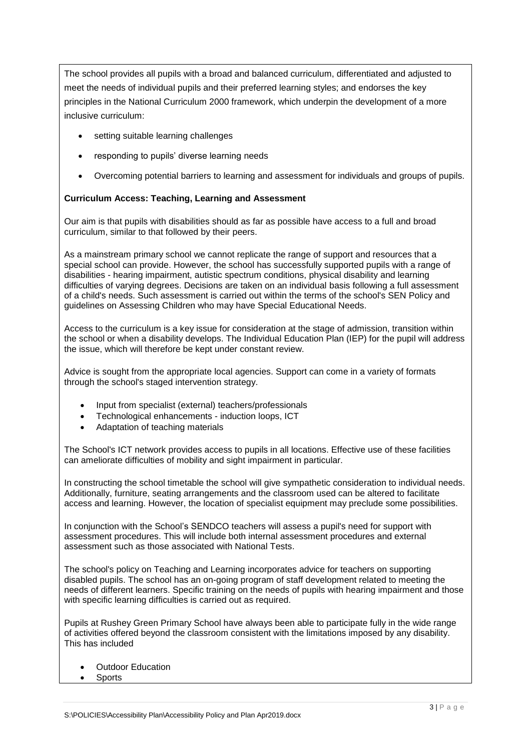The school provides all pupils with a broad and balanced curriculum, differentiated and adjusted to meet the needs of individual pupils and their preferred learning styles; and endorses the key principles in the National Curriculum 2000 framework, which underpin the development of a more inclusive curriculum:

- setting suitable learning challenges
- responding to pupils' diverse learning needs
- Overcoming potential barriers to learning and assessment for individuals and groups of pupils.

#### **Curriculum Access: Teaching, Learning and Assessment**

Our aim is that pupils with disabilities should as far as possible have access to a full and broad curriculum, similar to that followed by their peers.

As a mainstream primary school we cannot replicate the range of support and resources that a special school can provide. However, the school has successfully supported pupils with a range of disabilities - hearing impairment, autistic spectrum conditions, physical disability and learning difficulties of varying degrees. Decisions are taken on an individual basis following a full assessment of a child's needs. Such assessment is carried out within the terms of the school's SEN Policy and guidelines on Assessing Children who may have Special Educational Needs.

Access to the curriculum is a key issue for consideration at the stage of admission, transition within the school or when a disability develops. The Individual Education Plan (IEP) for the pupil will address the issue, which will therefore be kept under constant review.

Advice is sought from the appropriate local agencies. Support can come in a variety of formats through the school's staged intervention strategy.

- Input from specialist (external) teachers/professionals
- Technological enhancements induction loops, ICT
- Adaptation of teaching materials

The School's ICT network provides access to pupils in all locations. Effective use of these facilities can ameliorate difficulties of mobility and sight impairment in particular.

In constructing the school timetable the school will give sympathetic consideration to individual needs. Additionally, furniture, seating arrangements and the classroom used can be altered to facilitate access and learning. However, the location of specialist equipment may preclude some possibilities.

In conjunction with the School's SENDCO teachers will assess a pupil's need for support with assessment procedures. This will include both internal assessment procedures and external assessment such as those associated with National Tests.

The school's policy on Teaching and Learning incorporates advice for teachers on supporting disabled pupils. The school has an on-going program of staff development related to meeting the needs of different learners. Specific training on the needs of pupils with hearing impairment and those with specific learning difficulties is carried out as required.

Pupils at Rushey Green Primary School have always been able to participate fully in the wide range of activities offered beyond the classroom consistent with the limitations imposed by any disability. This has included

- Outdoor Education
- Sports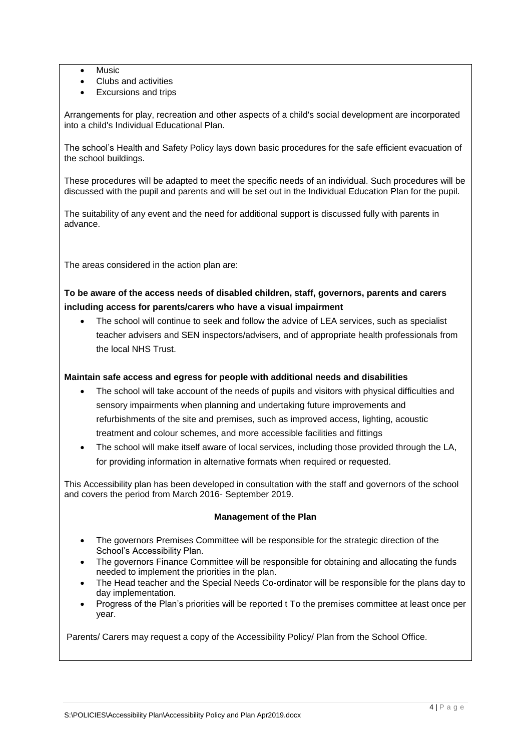- Music
- Clubs and activities
- Excursions and trips

Arrangements for play, recreation and other aspects of a child's social development are incorporated into a child's Individual Educational Plan.

The school's Health and Safety Policy lays down basic procedures for the safe efficient evacuation of the school buildings.

These procedures will be adapted to meet the specific needs of an individual. Such procedures will be discussed with the pupil and parents and will be set out in the Individual Education Plan for the pupil.

The suitability of any event and the need for additional support is discussed fully with parents in advance.

The areas considered in the action plan are:

#### **To be aware of the access needs of disabled children, staff, governors, parents and carers including access for parents/carers who have a visual impairment**

 The school will continue to seek and follow the advice of LEA services, such as specialist teacher advisers and SEN inspectors/advisers, and of appropriate health professionals from the local NHS Trust.

#### **Maintain safe access and egress for people with additional needs and disabilities**

- The school will take account of the needs of pupils and visitors with physical difficulties and sensory impairments when planning and undertaking future improvements and refurbishments of the site and premises, such as improved access, lighting, acoustic treatment and colour schemes, and more accessible facilities and fittings
- The school will make itself aware of local services, including those provided through the LA, for providing information in alternative formats when required or requested.

This Accessibility plan has been developed in consultation with the staff and governors of the school and covers the period from March 2016- September 2019.

#### **Management of the Plan**

- The governors Premises Committee will be responsible for the strategic direction of the School's Accessibility Plan.
- The governors Finance Committee will be responsible for obtaining and allocating the funds needed to implement the priorities in the plan.
- The Head teacher and the Special Needs Co-ordinator will be responsible for the plans day to day implementation.
- Progress of the Plan's priorities will be reported t To the premises committee at least once per year.

Parents/ Carers may request a copy of the Accessibility Policy/ Plan from the School Office.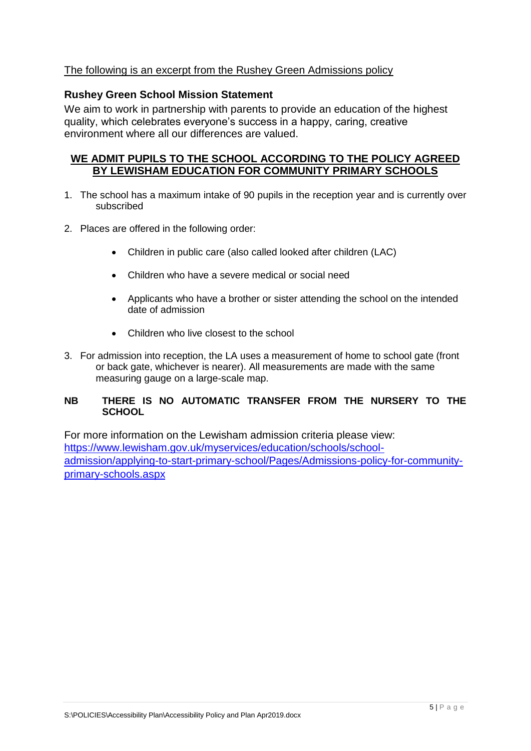#### The following is an excerpt from the Rushey Green Admissions policy

#### **Rushey Green School Mission Statement**

We aim to work in partnership with parents to provide an education of the highest quality, which celebrates everyone's success in a happy, caring, creative environment where all our differences are valued.

#### **WE ADMIT PUPILS TO THE SCHOOL ACCORDING TO THE POLICY AGREED BY LEWISHAM EDUCATION FOR COMMUNITY PRIMARY SCHOOLS**

- 1. The school has a maximum intake of 90 pupils in the reception year and is currently over subscribed
- 2. Places are offered in the following order:
	- Children in public care (also called looked after children (LAC)
	- Children who have a severe medical or social need
	- Applicants who have a brother or sister attending the school on the intended date of admission
	- Children who live closest to the school
- 3. For admission into reception, the LA uses a measurement of home to school gate (front or back gate, whichever is nearer). All measurements are made with the same measuring gauge on a large-scale map.

#### **NB THERE IS NO AUTOMATIC TRANSFER FROM THE NURSERY TO THE SCHOOL**

For more information on the Lewisham admission criteria please view: [https://www.lewisham.gov.uk/myservices/education/schools/school](https://www.lewisham.gov.uk/myservices/education/schools/school-admission/applying-to-start-primary-school/Pages/Admissions-policy-for-community-primary-schools.aspx)[admission/applying-to-start-primary-school/Pages/Admissions-policy-for-community](https://www.lewisham.gov.uk/myservices/education/schools/school-admission/applying-to-start-primary-school/Pages/Admissions-policy-for-community-primary-schools.aspx)[primary-schools.aspx](https://www.lewisham.gov.uk/myservices/education/schools/school-admission/applying-to-start-primary-school/Pages/Admissions-policy-for-community-primary-schools.aspx)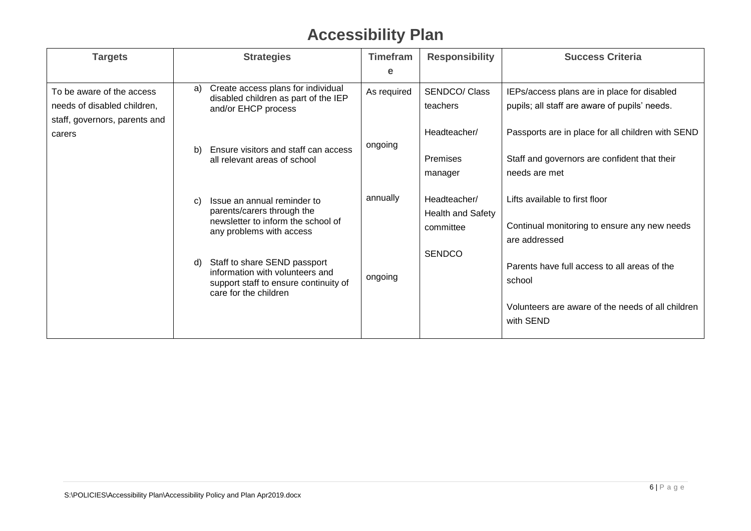## **Accessibility Plan**

| <b>Targets</b>                | <b>Strategies</b>                                                                | <b>Timefram</b> | <b>Responsibility</b> | <b>Success Criteria</b>                           |
|-------------------------------|----------------------------------------------------------------------------------|-----------------|-----------------------|---------------------------------------------------|
|                               |                                                                                  | е               |                       |                                                   |
| To be aware of the access     | Create access plans for individual<br>a)<br>disabled children as part of the IEP | As required     | SENDCO/ Class         | IEPs/access plans are in place for disabled       |
| needs of disabled children,   | and/or EHCP process                                                              |                 | teachers              | pupils; all staff are aware of pupils' needs.     |
| staff, governors, parents and |                                                                                  |                 |                       |                                                   |
| carers                        |                                                                                  |                 | Headteacher/          | Passports are in place for all children with SEND |
|                               | Ensure visitors and staff can access<br>b)<br>all relevant areas of school       | ongoing         | <b>Premises</b>       | Staff and governors are confident that their      |
|                               |                                                                                  |                 | manager               | needs are met                                     |
|                               |                                                                                  |                 |                       |                                                   |
|                               | Issue an annual reminder to<br>C)                                                | annually        | Headteacher/          | Lifts available to first floor                    |
|                               | parents/carers through the<br>newsletter to inform the school of                 |                 | Health and Safety     |                                                   |
|                               | any problems with access                                                         |                 | committee             | Continual monitoring to ensure any new needs      |
|                               |                                                                                  |                 |                       | are addressed                                     |
|                               | Staff to share SEND passport<br>d)                                               |                 | <b>SENDCO</b>         | Parents have full access to all areas of the      |
|                               | information with volunteers and<br>support staff to ensure continuity of         | ongoing         |                       | school                                            |
|                               | care for the children                                                            |                 |                       |                                                   |
|                               |                                                                                  |                 |                       | Volunteers are aware of the needs of all children |
|                               |                                                                                  |                 |                       | with SEND                                         |
|                               |                                                                                  |                 |                       |                                                   |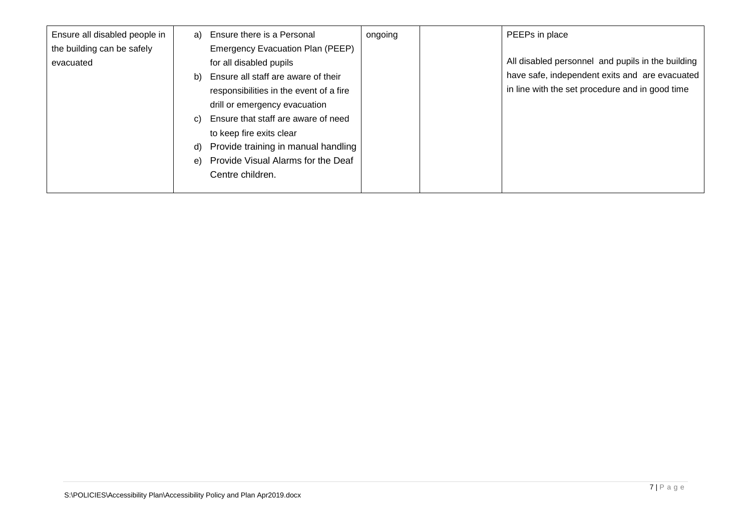| Ensure all disabled people in | a) | Ensure there is a Personal              | ongoing | PEEPs in place                                    |
|-------------------------------|----|-----------------------------------------|---------|---------------------------------------------------|
| the building can be safely    |    | Emergency Evacuation Plan (PEEP)        |         |                                                   |
| evacuated                     |    | for all disabled pupils                 |         | All disabled personnel and pupils in the building |
|                               | b) | Ensure all staff are aware of their     |         | have safe, independent exits and are evacuated    |
|                               |    | responsibilities in the event of a fire |         | in line with the set procedure and in good time   |
|                               |    | drill or emergency evacuation           |         |                                                   |
|                               | C) | Ensure that staff are aware of need     |         |                                                   |
|                               |    | to keep fire exits clear                |         |                                                   |
|                               | d) | Provide training in manual handling     |         |                                                   |
|                               | e) | Provide Visual Alarms for the Deaf      |         |                                                   |
|                               |    | Centre children.                        |         |                                                   |
|                               |    |                                         |         |                                                   |